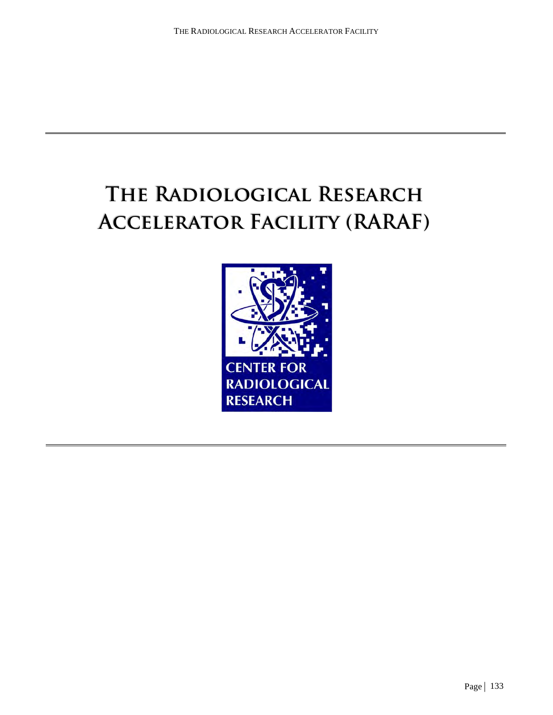# **The Radiological Research Accelerator Facility (RARAF)**

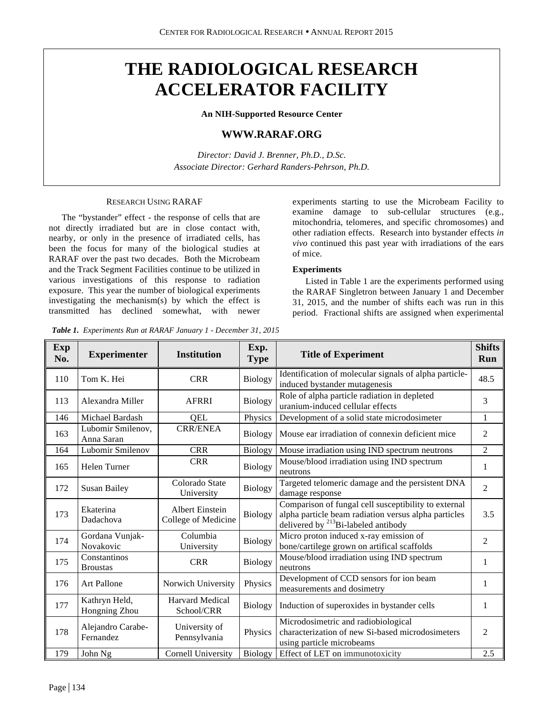# **THE RADIOLOGICAL RESEARCH ACCELERATOR FACILITY**

**An NIH-Supported Resource Center**

# **WWW.RARAF.ORG**

*Director: David J. Brenner, Ph.D., D.Sc. Associate Director: Gerhard Randers-Pehrson, Ph.D.*

#### RESEARCH USING RARAF

The "bystander" effect - the response of cells that are not directly irradiated but are in close contact with, nearby, or only in the presence of irradiated cells, has been the focus for many of the biological studies at RARAF over the past two decades. Both the Microbeam and the Track Segment Facilities continue to be utilized in various investigations of this response to radiation exposure. This year the number of biological experiments investigating the mechanism(s) by which the effect is transmitted has declined somewhat, with newer

*Table 1. Experiments Run at RARAF January 1 - December 31, 2015*

experiments starting to use the Microbeam Facility to examine damage to sub-cellular structures (e.g., mitochondria, telomeres, and specific chromosomes) and other radiation effects. Research into bystander effects *in vivo* continued this past year with irradiations of the ears of mice.

#### **Experiments**

Listed in Table 1 are the experiments performed using the RARAF Singletron between January 1 and December 31, 2015, and the number of shifts each was run in this period. Fractional shifts are assigned when experimental

| Exp<br>No. | <b>Experimenter</b>             | <b>Institution</b>                            | Exp.<br><b>Type</b> | <b>Title of Experiment</b>                                                                                                                                      | <b>Shifts</b><br>Run |
|------------|---------------------------------|-----------------------------------------------|---------------------|-----------------------------------------------------------------------------------------------------------------------------------------------------------------|----------------------|
| 110        | Tom K. Hei                      | <b>CRR</b>                                    | <b>Biology</b>      | Identification of molecular signals of alpha particle-<br>induced bystander mutagenesis                                                                         | 48.5                 |
| 113        | Alexandra Miller                | AFRRI                                         | Biology             | Role of alpha particle radiation in depleted<br>uranium-induced cellular effects                                                                                | 3                    |
| 146        | Michael Bardash                 | QEL                                           | Physics             | Development of a solid state microdosimeter                                                                                                                     | $\mathbf{1}$         |
| 163        | Lubomir Smilenov,<br>Anna Saran | <b>CRR/ENEA</b>                               | <b>Biology</b>      | Mouse ear irradiation of connexin deficient mice                                                                                                                | 2                    |
| 164        | Lubomir Smilenov                | <b>CRR</b>                                    | Biology             | Mouse irradiation using IND spectrum neutrons                                                                                                                   | $\overline{c}$       |
| 165        | Helen Turner                    | <b>CRR</b>                                    | <b>Biology</b>      | Mouse/blood irradiation using IND spectrum<br>neutrons                                                                                                          | 1                    |
| 172        | <b>Susan Bailey</b>             | Colorado State<br>University                  | Biology             | Targeted telomeric damage and the persistent DNA<br>damage response                                                                                             | 2                    |
| 173        | Ekaterina<br>Dadachova          | <b>Albert Einstein</b><br>College of Medicine | Biology             | Comparison of fungal cell susceptibility to external<br>alpha particle beam radiation versus alpha particles<br>delivered by <sup>213</sup> Bi-labeled antibody | 3.5                  |
| 174        | Gordana Vunjak-<br>Novakovic    | Columbia<br>University                        | Biology             | Micro proton induced x-ray emission of<br>bone/cartilege grown on artifical scaffolds                                                                           | $\overline{c}$       |
| 175        | Constantinos<br><b>Broustas</b> | <b>CRR</b>                                    | Biology             | Mouse/blood irradiation using IND spectrum<br>neutrons                                                                                                          | 1                    |
| 176        | Art Pallone                     | Norwich University                            | Physics             | Development of CCD sensors for ion beam<br>measurements and dosimetry                                                                                           | 1                    |
| 177        | Kathryn Held,<br>Hongning Zhou  | <b>Harvard Medical</b><br>School/CRR          | Biology             | Induction of superoxides in bystander cells                                                                                                                     | 1                    |
| 178        | Alejandro Carabe-<br>Fernandez  | University of<br>Pennsylvania                 | Physics             | Microdosimetric and radiobiological<br>characterization of new Si-based microdosimeters<br>using particle microbeams                                            | $\overline{c}$       |
| 179        | John Ng                         | Cornell University                            | Biology             | Effect of LET on immunotoxicity                                                                                                                                 | 2.5                  |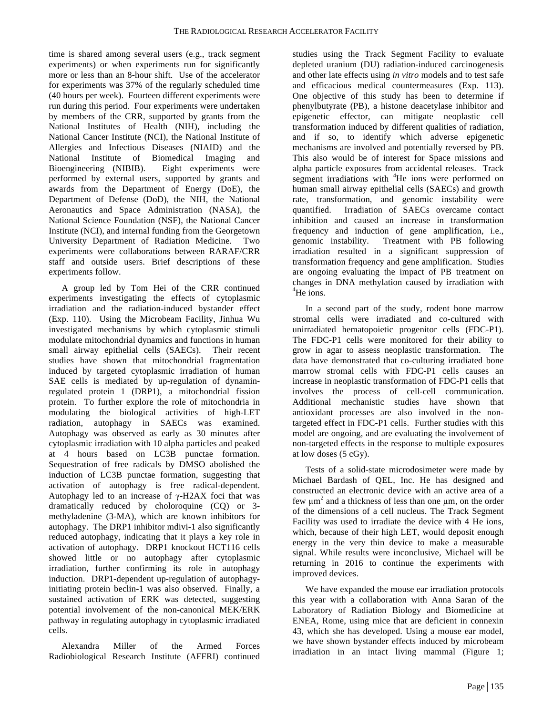time is shared among several users (e.g., track segment experiments) or when experiments run for significantly more or less than an 8-hour shift. Use of the accelerator for experiments was 37% of the regularly scheduled time (40 hours per week). Fourteen different experiments were run during this period. Four experiments were undertaken by members of the CRR, supported by grants from the National Institutes of Health (NIH), including the National Cancer Institute (NCI), the National Institute of Allergies and Infectious Diseases (NIAID) and the National Institute of Biomedical Imaging and Bioengineering (NIBIB). Eight experiments were performed by external users, supported by grants and awards from the Department of Energy (DoE), the Department of Defense (DoD), the NIH, the National Aeronautics and Space Administration (NASA), the National Science Foundation (NSF), the National Cancer Institute (NCI), and internal funding from the Georgetown University Department of Radiation Medicine. Two experiments were collaborations between RARAF/CRR staff and outside users. Brief descriptions of these experiments follow.

A group led by Tom Hei of the CRR continued experiments investigating the effects of cytoplasmic irradiation and the radiation-induced bystander effect (Exp. 110). Using the Microbeam Facility, Jinhua Wu investigated mechanisms by which cytoplasmic stimuli modulate mitochondrial dynamics and functions in human small airway epithelial cells (SAECs). Their recent studies have shown that mitochondrial fragmentation induced by targeted cytoplasmic irradiation of human SAE cells is mediated by up-regulation of dynaminregulated protein 1 (DRP1), a mitochondrial fission protein. To further explore the role of mitochondria in modulating the biological activities of high-LET radiation, autophagy in SAECs was examined. Autophagy was observed as early as 30 minutes after cytoplasmic irradiation with 10 alpha particles and peaked at 4 hours based on LC3B punctae formation. Sequestration of free radicals by DMSO abolished the induction of LC3B punctae formation, suggesting that activation of autophagy is free radical-dependent. Autophagy led to an increase of  $\gamma$ -H2AX foci that was dramatically reduced by choloroquine (CQ) or 3 methyladenine (3-MA), which are known inhibitors for autophagy. The DRP1 inhibitor mdivi-1 also significantly reduced autophagy, indicating that it plays a key role in activation of autophagy. DRP1 knockout HCT116 cells showed little or no autophagy after cytoplasmic irradiation, further confirming its role in autophagy induction. DRP1-dependent up-regulation of autophagyinitiating protein beclin-1 was also observed. Finally, a sustained activation of ERK was detected, suggesting potential involvement of the non-canonical MEK/ERK pathway in regulating autophagy in cytoplasmic irradiated cells.

Alexandra Miller of the Armed Forces Radiobiological Research Institute (AFFRI) continued

studies using the Track Segment Facility to evaluate depleted uranium (DU) radiation-induced carcinogenesis and other late effects using *in vitro* models and to test safe and efficacious medical countermeasures (Exp. 113). One objective of this study has been to determine if phenylbutyrate (PB), a histone deacetylase inhibitor and epigenetic effector, can mitigate neoplastic cell transformation induced by different qualities of radiation, and if so, to identify which adverse epigenetic mechanisms are involved and potentially reversed by PB. This also would be of interest for Space missions and alpha particle exposures from accidental releases. Track segment irradiations with <sup>4</sup>He ions were performed on human small airway epithelial cells (SAECs) and growth rate, transformation, and genomic instability were quantified. Irradiation of SAECs overcame contact inhibition and caused an increase in transformation frequency and induction of gene amplification, i.e., genomic instability. Treatment with PB following irradiation resulted in a significant suppression of transformation frequency and gene amplification. Studies are ongoing evaluating the impact of PB treatment on changes in DNA methylation caused by irradiation with 4 He ions.

In a second part of the study, rodent bone marrow stromal cells were irradiated and co-cultured with unirradiated hematopoietic progenitor cells (FDC-P1). The FDC-P1 cells were monitored for their ability to grow in agar to assess neoplastic transformation. The data have demonstrated that co-culturing irradiated bone marrow stromal cells with FDC-P1 cells causes an increase in neoplastic transformation of FDC-P1 cells that involves the process of cell-cell communication. Additional mechanistic studies have shown that antioxidant processes are also involved in the nontargeted effect in FDC-P1 cells. Further studies with this model are ongoing, and are evaluating the involvement of non-targeted effects in the response to multiple exposures at low doses (5 cGy).

Tests of a solid-state microdosimeter were made by Michael Bardash of QEL, Inc. He has designed and constructed an electronic device with an active area of a few  $\mu$ m<sup>2</sup> and a thickness of less than one  $\mu$ m, on the order of the dimensions of a cell nucleus. The Track Segment Facility was used to irradiate the device with 4 He ions, which, because of their high LET, would deposit enough energy in the very thin device to make a measurable signal. While results were inconclusive, Michael will be returning in 2016 to continue the experiments with improved devices.

We have expanded the mouse ear irradiation protocols this year with a collaboration with Anna Saran of the Laboratory of Radiation Biology and Biomedicine at ENEA, Rome, using mice that are deficient in connexin 43, which she has developed. Using a mouse ear model, we have shown bystander effects induced by microbeam irradiation in an intact living mammal (Figure 1;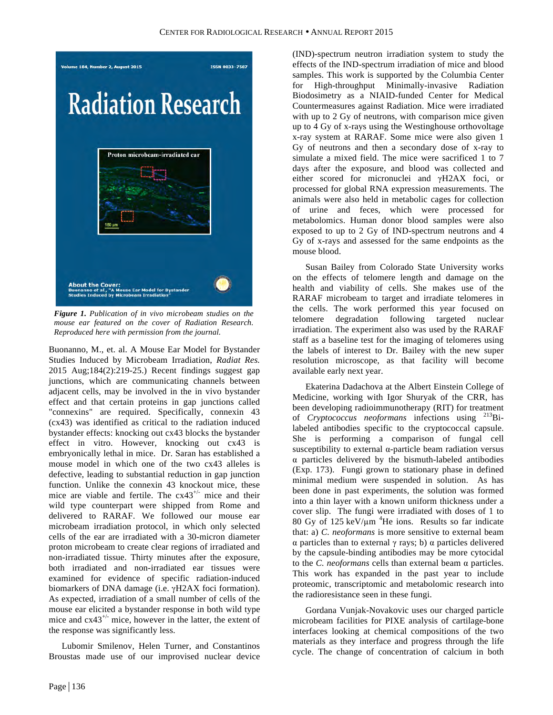

*Figure 1. Publication of in vivo microbeam studies on the mouse ear featured on the cover of Radiation Research. Reproduced here with permission from the journal.*

Buonanno, M., et. al. A Mouse Ear Model for Bystander Studies Induced by Microbeam Irradiation, *Radiat Res.* 2015 Aug;184(2):219-25.) Recent findings suggest gap junctions, which are communicating channels between adjacent cells, may be involved in the in vivo bystander effect and that certain proteins in gap junctions called "connexins" are required. Specifically, connexin 43 (cx43) was identified as critical to the radiation induced bystander effects: knocking out cx43 blocks the bystander effect in vitro. However, knocking out cx43 is embryonically lethal in mice. Dr. Saran has established a mouse model in which one of the two cx43 alleles is defective, leading to substantial reduction in gap junction function. Unlike the connexin 43 knockout mice, these mice are viable and fertile. The  $cx43^{+/}$  mice and their wild type counterpart were shipped from Rome and delivered to RARAF. We followed our mouse ear microbeam irradiation protocol, in which only selected cells of the ear are irradiated with a 30-micron diameter proton microbeam to create clear regions of irradiated and non-irradiated tissue. Thirty minutes after the exposure, both irradiated and non-irradiated ear tissues were examined for evidence of specific radiation-induced biomarkers of DNA damage (i.e. γH2AX foci formation). As expected, irradiation of a small number of cells of the mouse ear elicited a bystander response in both wild type mice and  $cx43^{+/-}$  mice, however in the latter, the extent of the response was significantly less.

Lubomir Smilenov, Helen Turner, and Constantinos Broustas made use of our improvised nuclear device

(IND)-spectrum neutron irradiation system to study the effects of the IND-spectrum irradiation of mice and blood samples. This work is supported by the Columbia Center for High-throughput Minimally-invasive Radiation Biodosimetry as a NIAID-funded Center for Medical Countermeasures against Radiation. Mice were irradiated with up to 2 Gy of neutrons, with comparison mice given up to 4 Gy of x-rays using the Westinghouse orthovoltage x-ray system at RARAF. Some mice were also given 1 Gy of neutrons and then a secondary dose of x-ray to simulate a mixed field. The mice were sacrificed 1 to 7 days after the exposure, and blood was collected and either scored for micronuclei and γH2AX foci, or processed for global RNA expression measurements. The animals were also held in metabolic cages for collection of urine and feces, which were processed for metabolomics. Human donor blood samples were also exposed to up to 2 Gy of IND-spectrum neutrons and 4 Gy of x-rays and assessed for the same endpoints as the mouse blood.

Susan Bailey from Colorado State University works on the effects of telomere length and damage on the health and viability of cells. She makes use of the RARAF microbeam to target and irradiate telomeres in the cells. The work performed this year focused on telomere degradation following targeted nuclear irradiation. The experiment also was used by the RARAF staff as a baseline test for the imaging of telomeres using the labels of interest to Dr. Bailey with the new super resolution microscope, as that facility will become available early next year.

Ekaterina Dadachova at the Albert Einstein College of Medicine, working with Igor Shuryak of the CRR, has been developing radioimmunotherapy (RIT) for treatment of *Cryptococcus neoformans* infections using 213Bilabeled antibodies specific to the cryptococcal capsule. She is performing a comparison of fungal cell susceptibility to external α-particle beam radiation versus α particles delivered by the bismuth-labeled antibodies (Exp. 173). Fungi grown to stationary phase in defined minimal medium were suspended in solution. As has been done in past experiments, the solution was formed into a thin layer with a known uniform thickness under a cover slip. The fungi were irradiated with doses of 1 to 80 Gy of 125 keV/ $\mu$ m<sup>4</sup>He ions. Results so far indicate that: a) *C. neoformans* is more sensitive to external beam α particles than to external γ rays; b) α particles delivered by the capsule-binding antibodies may be more cytocidal to the *C. neoformans* cells than external beam α particles. This work has expanded in the past year to include proteomic, transcriptomic and metabolomic research into the radioresistance seen in these fungi.

Gordana Vunjak-Novakovic uses our charged particle microbeam facilities for PIXE analysis of cartilage-bone interfaces looking at chemical compositions of the two materials as they interface and progress through the life cycle. The change of concentration of calcium in both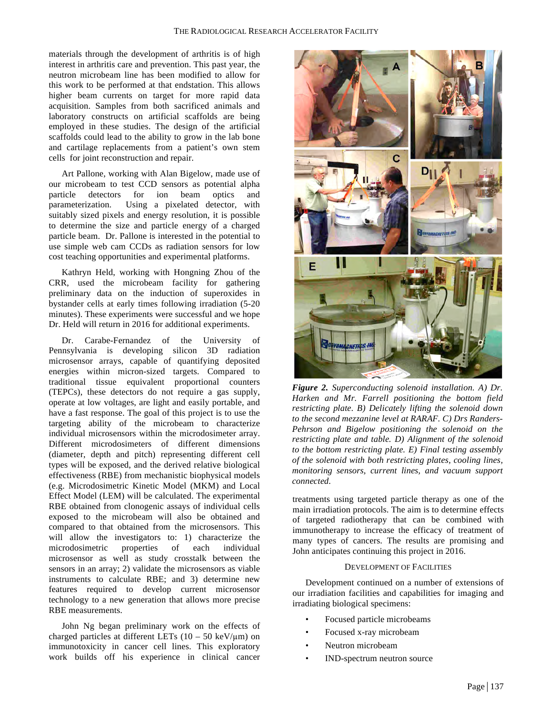materials through the development of arthritis is of high interest in arthritis care and prevention. This past year, the neutron microbeam line has been modified to allow for this work to be performed at that endstation. This allows higher beam currents on target for more rapid data acquisition. Samples from both sacrificed animals and laboratory constructs on artificial scaffolds are being employed in these studies. The design of the artificial scaffolds could lead to the ability to grow in the lab bone and cartilage replacements from a patient's own stem cells for joint reconstruction and repair.

Art Pallone, working with Alan Bigelow, made use of our microbeam to test CCD sensors as potential alpha particle detectors for ion beam optics and parameterization. Using a pixelated detector, with suitably sized pixels and energy resolution, it is possible to determine the size and particle energy of a charged particle beam. Dr. Pallone is interested in the potential to use simple web cam CCDs as radiation sensors for low cost teaching opportunities and experimental platforms.

Kathryn Held, working with Hongning Zhou of the CRR, used the microbeam facility for gathering preliminary data on the induction of superoxides in bystander cells at early times following irradiation (5-20 minutes). These experiments were successful and we hope Dr. Held will return in 2016 for additional experiments.

Dr. Carabe-Fernandez of the University of Pennsylvania is developing silicon 3D radiation microsensor arrays, capable of quantifying deposited energies within micron-sized targets. Compared to traditional tissue equivalent proportional counters (TEPCs), these detectors do not require a gas supply, operate at low voltages, are light and easily portable, and have a fast response. The goal of this project is to use the targeting ability of the microbeam to characterize individual microsensors within the microdosimeter array. Different microdosimeters of different dimensions (diameter, depth and pitch) representing different cell types will be exposed, and the derived relative biological effectiveness (RBE) from mechanistic biophysical models (e.g. Microdosimetric Kinetic Model (MKM) and Local Effect Model (LEM) will be calculated. The experimental RBE obtained from clonogenic assays of individual cells exposed to the microbeam will also be obtained and compared to that obtained from the microsensors. This will allow the investigators to: 1) characterize the microdosimetric properties of each individual microsensor as well as study crosstalk between the sensors in an array; 2) validate the microsensors as viable instruments to calculate RBE; and 3) determine new features required to develop current microsensor technology to a new generation that allows more precise RBE measurements.

John Ng began preliminary work on the effects of charged particles at different LETs  $(10 - 50 \text{ keV/µm})$  on immunotoxicity in cancer cell lines. This exploratory work builds off his experience in clinical cancer



*Figure 2. Superconducting solenoid installation. A) Dr. Harken and Mr. Farrell positioning the bottom field restricting plate. B) Delicately lifting the solenoid down to the second mezzanine level at RARAF. C) Drs Randers-Pehrson and Bigelow positioning the solenoid on the restricting plate and table. D) Alignment of the solenoid to the bottom restricting plate. E) Final testing assembly of the solenoid with both restricting plates, cooling lines, monitoring sensors, current lines, and vacuum support connected.*

treatments using targeted particle therapy as one of the main irradiation protocols. The aim is to determine effects of targeted radiotherapy that can be combined with immunotherapy to increase the efficacy of treatment of many types of cancers. The results are promising and John anticipates continuing this project in 2016.

#### DEVELOPMENT OF FACILITIES

Development continued on a number of extensions of our irradiation facilities and capabilities for imaging and irradiating biological specimens:

- Focused particle microbeams
- Focused x-ray microbeam
- Neutron microbeam
- IND-spectrum neutron source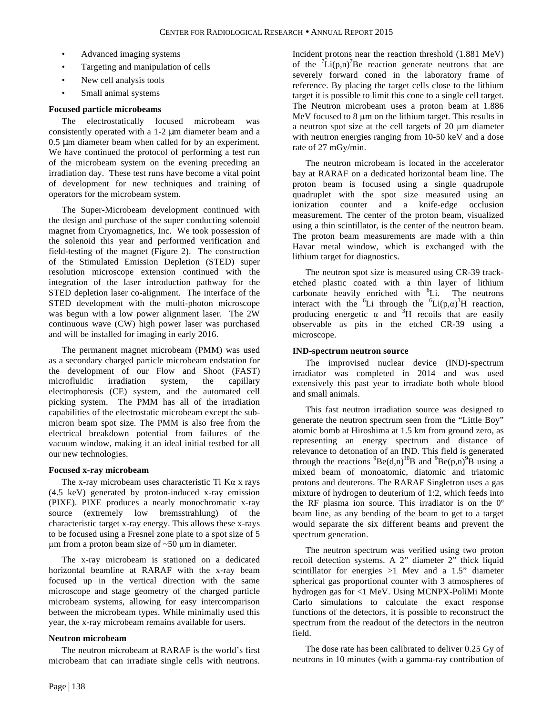- Advanced imaging systems
- Targeting and manipulation of cells
- New cell analysis tools
- Small animal systems

# **Focused particle microbeams**

The electrostatically focused microbeam was consistently operated with a 1-2 µm diameter beam and a 0.5 µm diameter beam when called for by an experiment. We have continued the protocol of performing a test run of the microbeam system on the evening preceding an irradiation day. These test runs have become a vital point of development for new techniques and training of operators for the microbeam system.

The Super-Microbeam development continued with the design and purchase of the super conducting solenoid magnet from Cryomagnetics, Inc. We took possession of the solenoid this year and performed verification and field-testing of the magnet (Figure 2). The construction of the Stimulated Emission Depletion (STED) super resolution microscope extension continued with the integration of the laser introduction pathway for the STED depletion laser co-alignment. The interface of the STED development with the multi-photon microscope was begun with a low power alignment laser. The 2W continuous wave (CW) high power laser was purchased and will be installed for imaging in early 2016.

The permanent magnet microbeam (PMM) was used as a secondary charged particle microbeam endstation for the development of our Flow and Shoot (FAST) microfluidic irradiation system, the capillary electrophoresis (CE) system, and the automated cell picking system. The PMM has all of the irradiation capabilities of the electrostatic microbeam except the submicron beam spot size. The PMM is also free from the electrical breakdown potential from failures of the vacuum window, making it an ideal initial testbed for all our new technologies.

# **Focused x-ray microbeam**

The x-ray microbeam uses characteristic Ti Kα x rays (4.5 keV) generated by proton-induced x-ray emission (PIXE). PIXE produces a nearly monochromatic x-ray source (extremely low bremsstrahlung) of the characteristic target x-ray energy. This allows these x-rays to be focused using a Fresnel zone plate to a spot size of 5  $\mu$ m from a proton beam size of ~50  $\mu$ m in diameter.

The x-ray microbeam is stationed on a dedicated horizontal beamline at RARAF with the x-ray beam focused up in the vertical direction with the same microscope and stage geometry of the charged particle microbeam systems, allowing for easy intercomparison between the microbeam types. While minimally used this year, the x-ray microbeam remains available for users.

# **Neutron microbeam**

The neutron microbeam at RARAF is the world's first microbeam that can irradiate single cells with neutrons.

Incident protons near the reaction threshold (1.881 MeV) of the  ${}^{7}Li(p,n){}^{7}Be$  reaction generate neutrons that are severely forward coned in the laboratory frame of reference. By placing the target cells close to the lithium target it is possible to limit this cone to a single cell target. The Neutron microbeam uses a proton beam at 1.886 MeV focused to 8 um on the lithium target. This results in a neutron spot size at the cell targets of 20 µm diameter with neutron energies ranging from 10-50 keV and a dose rate of 27 mGy/min.

The neutron microbeam is located in the accelerator bay at RARAF on a dedicated horizontal beam line. The proton beam is focused using a single quadrupole quadruplet with the spot size measured using an ionization counter and a knife-edge occlusion measurement. The center of the proton beam, visualized using a thin scintillator, is the center of the neutron beam. The proton beam measurements are made with a thin Havar metal window, which is exchanged with the lithium target for diagnostics.

The neutron spot size is measured using CR-39 tracketched plastic coated with a thin layer of lithium carbonate heavily enriched with <sup>6</sup>Li. The neutrons interact with the <sup>6</sup>Li through the <sup>6</sup>Li(p, $\alpha$ )<sup>3</sup>H reaction, producing energetic  $\alpha$  and <sup>3</sup>H recoils that are easily observable as pits in the etched CR-39 using a microscope.

# **IND-spectrum neutron source**

The improvised nuclear device (IND)-spectrum irradiator was completed in 2014 and was used extensively this past year to irradiate both whole blood and small animals.

This fast neutron irradiation source was designed to generate the neutron spectrum seen from the "Little Boy" atomic bomb at Hiroshima at 1.5 km from ground zero, as representing an energy spectrum and distance of relevance to detonation of an IND. This field is generated through the reactions  ${}^{9}Be(d,n)$ <sup>10</sup>B and  ${}^{9}Be(p,n)$ <sup>9</sup>B using a mixed beam of monoatomic, diatomic and triatomic protons and deuterons. The RARAF Singletron uses a gas mixture of hydrogen to deuterium of 1:2, which feeds into the RF plasma ion source. This irradiator is on the 0º beam line, as any bending of the beam to get to a target would separate the six different beams and prevent the spectrum generation.

The neutron spectrum was verified using two proton recoil detection systems. A 2" diameter 2" thick liquid scintillator for energies >1 Mev and a 1.5" diameter spherical gas proportional counter with 3 atmospheres of hydrogen gas for <1 MeV. Using MCNPX-PoliMi Monte Carlo simulations to calculate the exact response functions of the detectors, it is possible to reconstruct the spectrum from the readout of the detectors in the neutron field.

The dose rate has been calibrated to deliver 0.25 Gy of neutrons in 10 minutes (with a gamma-ray contribution of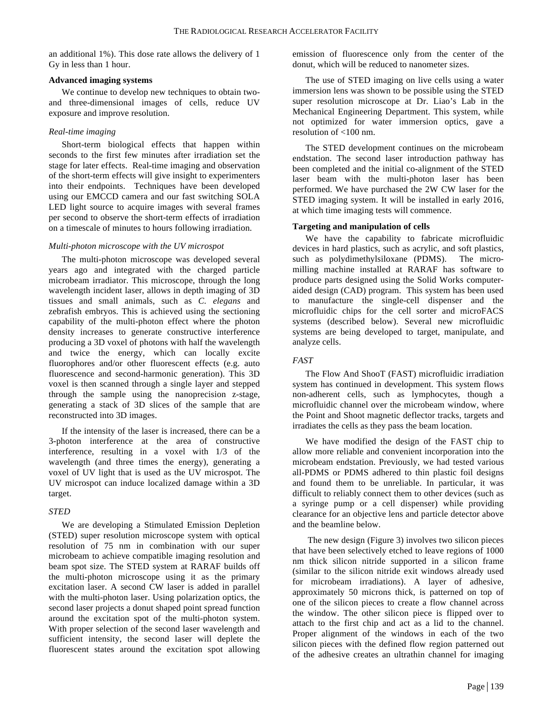an additional 1%). This dose rate allows the delivery of 1 Gy in less than 1 hour.

# **Advanced imaging systems**

We continue to develop new techniques to obtain twoand three-dimensional images of cells, reduce UV exposure and improve resolution.

# *Real-time imaging*

Short-term biological effects that happen within seconds to the first few minutes after irradiation set the stage for later effects. Real-time imaging and observation of the short-term effects will give insight to experimenters into their endpoints. Techniques have been developed using our EMCCD camera and our fast switching SOLA LED light source to acquire images with several frames per second to observe the short-term effects of irradiation on a timescale of minutes to hours following irradiation.

# *Multi-photon microscope with the UV microspot*

The multi-photon microscope was developed several years ago and integrated with the charged particle microbeam irradiator. This microscope, through the long wavelength incident laser, allows in depth imaging of 3D tissues and small animals, such as *C. elegans* and zebrafish embryos. This is achieved using the sectioning capability of the multi-photon effect where the photon density increases to generate constructive interference producing a 3D voxel of photons with half the wavelength and twice the energy, which can locally excite fluorophores and/or other fluorescent effects (e.g. auto fluorescence and second-harmonic generation). This 3D voxel is then scanned through a single layer and stepped through the sample using the nanoprecision z-stage, generating a stack of 3D slices of the sample that are reconstructed into 3D images.

If the intensity of the laser is increased, there can be a 3-photon interference at the area of constructive interference, resulting in a voxel with 1/3 of the wavelength (and three times the energy), generating a voxel of UV light that is used as the UV microspot. The UV microspot can induce localized damage within a 3D target.

# *STED*

We are developing a Stimulated Emission Depletion (STED) super resolution microscope system with optical resolution of 75 nm in combination with our super microbeam to achieve compatible imaging resolution and beam spot size. The STED system at RARAF builds off the multi-photon microscope using it as the primary excitation laser. A second CW laser is added in parallel with the multi-photon laser. Using polarization optics, the second laser projects a donut shaped point spread function around the excitation spot of the multi-photon system. With proper selection of the second laser wavelength and sufficient intensity, the second laser will deplete the fluorescent states around the excitation spot allowing

emission of fluorescence only from the center of the donut, which will be reduced to nanometer sizes.

The use of STED imaging on live cells using a water immersion lens was shown to be possible using the STED super resolution microscope at Dr. Liao's Lab in the Mechanical Engineering Department. This system, while not optimized for water immersion optics, gave a resolution of <100 nm.

The STED development continues on the microbeam endstation. The second laser introduction pathway has been completed and the initial co-alignment of the STED laser beam with the multi-photon laser has been performed. We have purchased the 2W CW laser for the STED imaging system. It will be installed in early 2016, at which time imaging tests will commence.

# **Targeting and manipulation of cells**

We have the capability to fabricate microfluidic devices in hard plastics, such as acrylic, and soft plastics, such as polydimethylsiloxane (PDMS). The micromilling machine installed at RARAF has software to produce parts designed using the Solid Works computeraided design (CAD) program. This system has been used to manufacture the single-cell dispenser and the microfluidic chips for the cell sorter and microFACS systems (described below). Several new microfluidic systems are being developed to target, manipulate, and analyze cells.

# *FAST*

The Flow And ShooT (FAST) microfluidic irradiation system has continued in development. This system flows non-adherent cells, such as lymphocytes, though a microfluidic channel over the microbeam window, where the Point and Shoot magnetic deflector tracks, targets and irradiates the cells as they pass the beam location.

We have modified the design of the FAST chip to allow more reliable and convenient incorporation into the microbeam endstation. Previously, we had tested various all-PDMS or PDMS adhered to thin plastic foil designs and found them to be unreliable. In particular, it was difficult to reliably connect them to other devices (such as a syringe pump or a cell dispenser) while providing clearance for an objective lens and particle detector above and the beamline below.

The new design (Figure 3) involves two silicon pieces that have been selectively etched to leave regions of 1000 nm thick silicon nitride supported in a silicon frame (similar to the silicon nitride exit windows already used for microbeam irradiations). A layer of adhesive, approximately 50 microns thick, is patterned on top of one of the silicon pieces to create a flow channel across the window. The other silicon piece is flipped over to attach to the first chip and act as a lid to the channel. Proper alignment of the windows in each of the two silicon pieces with the defined flow region patterned out of the adhesive creates an ultrathin channel for imaging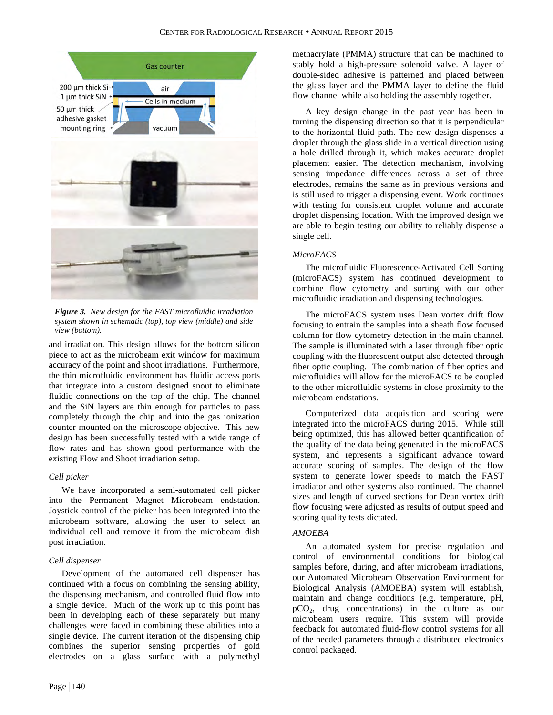

*Figure 3. New design for the FAST microfluidic irradiation system shown in schematic (top), top view (middle) and side view (bottom).*

and irradiation. This design allows for the bottom silicon piece to act as the microbeam exit window for maximum accuracy of the point and shoot irradiations. Furthermore, the thin microfluidic environment has fluidic access ports that integrate into a custom designed snout to eliminate fluidic connections on the top of the chip. The channel and the SiN layers are thin enough for particles to pass completely through the chip and into the gas ionization counter mounted on the microscope objective. This new design has been successfully tested with a wide range of flow rates and has shown good performance with the existing Flow and Shoot irradiation setup.

# *Cell picker*

We have incorporated a semi-automated cell picker into the Permanent Magnet Microbeam endstation. Joystick control of the picker has been integrated into the microbeam software, allowing the user to select an individual cell and remove it from the microbeam dish post irradiation.

# *Cell dispenser*

Development of the automated cell dispenser has continued with a focus on combining the sensing ability, the dispensing mechanism, and controlled fluid flow into a single device. Much of the work up to this point has been in developing each of these separately but many challenges were faced in combining these abilities into a single device. The current iteration of the dispensing chip combines the superior sensing properties of gold electrodes on a glass surface with a polymethyl methacrylate (PMMA) structure that can be machined to stably hold a high-pressure solenoid valve. A layer of double-sided adhesive is patterned and placed between the glass layer and the PMMA layer to define the fluid flow channel while also holding the assembly together.

A key design change in the past year has been in turning the dispensing direction so that it is perpendicular to the horizontal fluid path. The new design dispenses a droplet through the glass slide in a vertical direction using a hole drilled through it, which makes accurate droplet placement easier. The detection mechanism, involving sensing impedance differences across a set of three electrodes, remains the same as in previous versions and is still used to trigger a dispensing event. Work continues with testing for consistent droplet volume and accurate droplet dispensing location. With the improved design we are able to begin testing our ability to reliably dispense a single cell.

# *MicroFACS*

The microfluidic Fluorescence-Activated Cell Sorting (microFACS) system has continued development to combine flow cytometry and sorting with our other microfluidic irradiation and dispensing technologies.

The microFACS system uses Dean vortex drift flow focusing to entrain the samples into a sheath flow focused column for flow cytometry detection in the main channel. The sample is illuminated with a laser through fiber optic coupling with the fluorescent output also detected through fiber optic coupling. The combination of fiber optics and microfluidics will allow for the microFACS to be coupled to the other microfluidic systems in close proximity to the microbeam endstations.

Computerized data acquisition and scoring were integrated into the microFACS during 2015. While still being optimized, this has allowed better quantification of the quality of the data being generated in the microFACS system, and represents a significant advance toward accurate scoring of samples. The design of the flow system to generate lower speeds to match the FAST irradiator and other systems also continued. The channel sizes and length of curved sections for Dean vortex drift flow focusing were adjusted as results of output speed and scoring quality tests dictated.

# *AMOEBA*

An automated system for precise regulation and control of environmental conditions for biological samples before, during, and after microbeam irradiations, our Automated Microbeam Observation Environment for Biological Analysis (AMOEBA) system will establish, maintain and change conditions (e.g. temperature, pH, pCO2, drug concentrations) in the culture as our microbeam users require. This system will provide feedback for automated fluid-flow control systems for all of the needed parameters through a distributed electronics control packaged.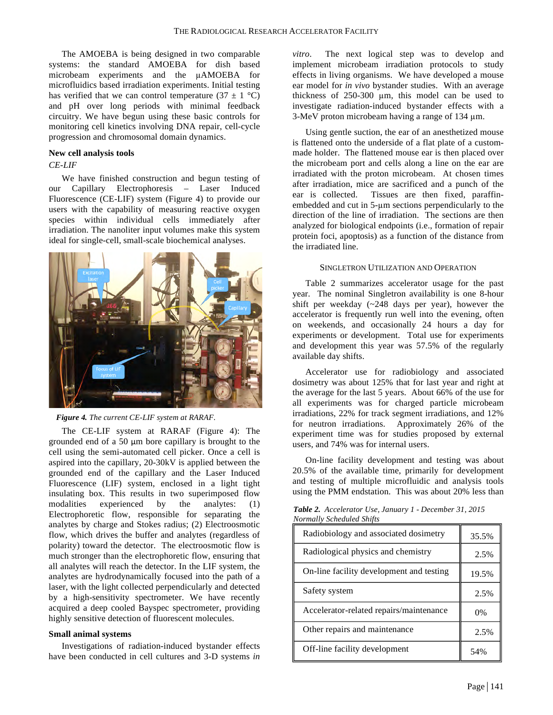The AMOEBA is being designed in two comparable systems: the standard AMOEBA for dish based microbeam experiments and the µAMOEBA for microfluidics based irradiation experiments. Initial testing has verified that we can control temperature  $(37 \pm 1 \degree C)$ and pH over long periods with minimal feedback circuitry. We have begun using these basic controls for monitoring cell kinetics involving DNA repair, cell-cycle progression and chromosomal domain dynamics.

#### **New cell analysis tools**

#### *CE-LIF*

We have finished construction and begun testing of our Capillary Electrophoresis – Laser Induced Fluorescence (CE-LIF) system (Figure 4) to provide our users with the capability of measuring reactive oxygen species within individual cells immediately after irradiation. The nanoliter input volumes make this system ideal for single-cell, small-scale biochemical analyses.



*Figure 4. The current CE-LIF system at RARAF.*

The CE-LIF system at RARAF (Figure 4): The grounded end of a 50 µm bore capillary is brought to the cell using the semi-automated cell picker. Once a cell is aspired into the capillary, 20-30kV is applied between the grounded end of the capillary and the Laser Induced Fluorescence (LIF) system, enclosed in a light tight insulating box. This results in two superimposed flow modalities experienced by the analytes: (1) Electrophoretic flow, responsible for separating the analytes by charge and Stokes radius; (2) Electroosmotic flow, which drives the buffer and analytes (regardless of polarity) toward the detector. The electroosmotic flow is much stronger than the electrophoretic flow, ensuring that all analytes will reach the detector. In the LIF system, the analytes are hydrodynamically focused into the path of a laser, with the light collected perpendicularly and detected by a high-sensitivity spectrometer. We have recently acquired a deep cooled Bayspec spectrometer, providing highly sensitive detection of fluorescent molecules.

# **Small animal systems**

Investigations of radiation-induced bystander effects have been conducted in cell cultures and 3-D systems *in* 

*vitro*. The next logical step was to develop and implement microbeam irradiation protocols to study effects in living organisms. We have developed a mouse ear model for *in vivo* bystander studies. With an average thickness of 250-300 µm, this model can be used to investigate radiation-induced bystander effects with a 3-MeV proton microbeam having a range of 134 µm.

Using gentle suction, the ear of an anesthetized mouse is flattened onto the underside of a flat plate of a custommade holder. The flattened mouse ear is then placed over the microbeam port and cells along a line on the ear are irradiated with the proton microbeam. At chosen times after irradiation, mice are sacrificed and a punch of the ear is collected. Tissues are then fixed, paraffinembedded and cut in 5-µm sections perpendicularly to the direction of the line of irradiation. The sections are then analyzed for biological endpoints (i.e., formation of repair protein foci, apoptosis) as a function of the distance from the irradiated line.

#### SINGLETRON UTILIZATION AND OPERATION

Table 2 summarizes accelerator usage for the past year. The nominal Singletron availability is one 8-hour shift per weekday (~248 days per year), however the accelerator is frequently run well into the evening, often on weekends, and occasionally 24 hours a day for experiments or development. Total use for experiments and development this year was 57.5% of the regularly available day shifts.

Accelerator use for radiobiology and associated dosimetry was about 125% that for last year and right at the average for the last 5 years. About 66% of the use for all experiments was for charged particle microbeam irradiations, 22% for track segment irradiations, and 12% for neutron irradiations. Approximately 26% of the experiment time was for studies proposed by external users, and 74% was for internal users.

On-line facility development and testing was about 20.5% of the available time, primarily for development and testing of multiple microfluidic and analysis tools using the PMM endstation. This was about 20% less than

| vormatty scheauted shijts                |       |  |  |  |  |
|------------------------------------------|-------|--|--|--|--|
| Radiobiology and associated dosimetry    | 35.5% |  |  |  |  |
| Radiological physics and chemistry       | 2.5%  |  |  |  |  |
| On-line facility development and testing | 19.5% |  |  |  |  |
| Safety system                            | 2.5%  |  |  |  |  |
| Accelerator-related repairs/maintenance  | 0%    |  |  |  |  |
| Other repairs and maintenance            | 2.5%  |  |  |  |  |
| Off-line facility development            | 54%   |  |  |  |  |

*Table 2. Accelerator Use, January 1 - December 31, 2015 Normally Scheduled Shifts*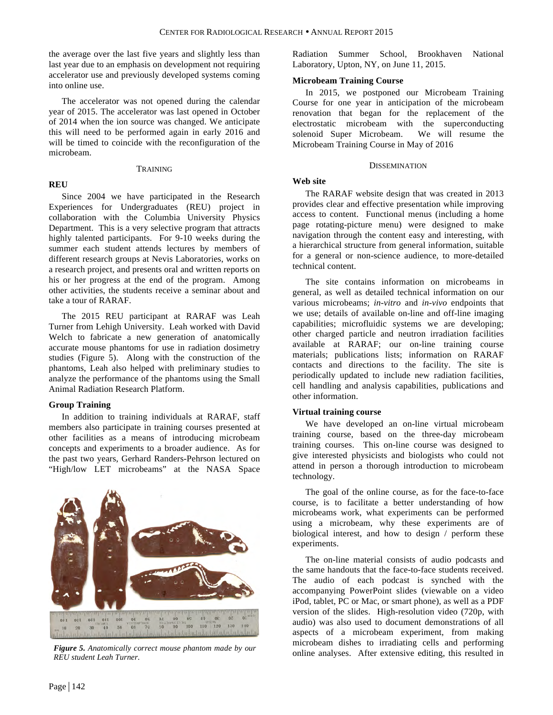the average over the last five years and slightly less than last year due to an emphasis on development not requiring accelerator use and previously developed systems coming into online use.

The accelerator was not opened during the calendar year of 2015. The accelerator was last opened in October of 2014 when the ion source was changed. We anticipate this will need to be performed again in early 2016 and will be timed to coincide with the reconfiguration of the microbeam.

#### TRAINING

# **REU**

Since 2004 we have participated in the Research

Experiences for Undergraduates (REU) project in collaboration with the Columbia University Physics Department. This is a very selective program that attracts highly talented participants. For 9-10 weeks during the summer each student attends lectures by members of different research groups at Nevis Laboratories, works on a research project, and presents oral and written reports on his or her progress at the end of the program. Among other activities, the students receive a seminar about and take a tour of RARAF.

The 2015 REU participant at RARAF was Leah Turner from Lehigh University. Leah worked with David Welch to fabricate a new generation of anatomically accurate mouse phantoms for use in radiation dosimetry studies (Figure 5). Along with the construction of the phantoms, Leah also helped with preliminary studies to analyze the performance of the phantoms using the Small Animal Radiation Research Platform.

# **Group Training**

In addition to training individuals at RARAF, staff members also participate in training courses presented at other facilities as a means of introducing microbeam concepts and experiments to a broader audience. As for the past two years, Gerhard Randers-Pehrson lectured on "High/low LET microbeams" at the NASA Space



*REU student Leah Turner.*

Radiation Summer School, Brookhaven National Laboratory, Upton, NY, on June 11, 2015.

# **Microbeam Training Course**

In 2015, we postponed our Microbeam Training Course for one year in anticipation of the microbeam renovation that began for the replacement of the electrostatic microbeam with the superconducting solenoid Super Microbeam. We will resume the Microbeam Training Course in May of 2016

# **DISSEMINATION**

# **Web site**

The RARAF website design that was created in 2013 provides clear and effective presentation while improving access to content. Functional menus (including a home page rotating-picture menu) were designed to make navigation through the content easy and interesting, with a hierarchical structure from general information, suitable for a general or non-science audience, to more-detailed technical content.

The site contains information on microbeams in general, as well as detailed technical information on our various microbeams; *in-vitro* and *in-vivo* endpoints that we use; details of available on-line and off-line imaging capabilities; microfluidic systems we are developing; other charged particle and neutron irradiation facilities available at RARAF; our on-line training course materials; publications lists; information on RARAF contacts and directions to the facility. The site is periodically updated to include new radiation facilities, cell handling and analysis capabilities, publications and other information.

# **Virtual training course**

We have developed an on-line virtual microbeam training course, based on the three-day microbeam training courses. This on-line course was designed to give interested physicists and biologists who could not attend in person a thorough introduction to microbeam technology.

The goal of the online course, as for the face-to-face course, is to facilitate a better understanding of how microbeams work, what experiments can be performed using a microbeam, why these experiments are of biological interest, and how to design / perform these experiments.

The on-line material consists of audio podcasts and the same handouts that the face-to-face students received. The audio of each podcast is synched with the accompanying PowerPoint slides (viewable on a video iPod, tablet, PC or Mac, or smart phone), as well as a PDF version of the slides. High-resolution video (720p, with audio) was also used to document demonstrations of all aspects of a microbeam experiment, from making microbeam dishes to irradiating cells and performing online analyses. After extensive editing, this resulted in *Figure 5. Anatomically correct mouse phantom made by our*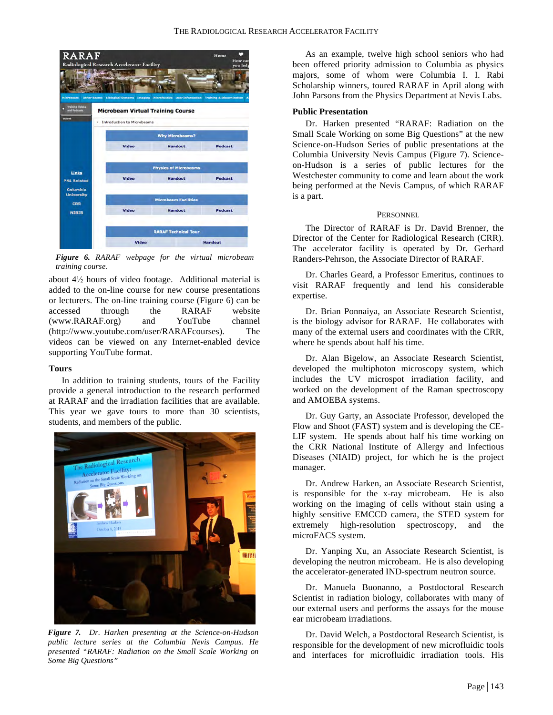

*Figure 6. RARAF webpage for the virtual microbeam training course.*

about 4½ hours of video footage. Additional material is added to the on-line course for new course presentations or lecturers. The on-line training course (Figure 6) can be accessed through the RARAF website (www.RARAF.org) and YouTube channel (http://www.youtube.com/user/RARAFcourses). The videos can be viewed on any Internet-enabled device supporting YouTube format.

# **Tours**

In addition to training students, tours of the Facility provide a general introduction to the research performed at RARAF and the irradiation facilities that are available. This year we gave tours to more than 30 scientists, students, and members of the public.



*Figure 7. Dr. Harken presenting at the Science-on-Hudson public lecture series at the Columbia Nevis Campus. He presented "RARAF: Radiation on the Small Scale Working on Some Big Questions"*

As an example, twelve high school seniors who had been offered priority admission to Columbia as physics majors, some of whom were Columbia I. I. Rabi Scholarship winners, toured RARAF in April along with John Parsons from the Physics Department at Nevis Labs.

# **Public Presentation**

Dr. Harken presented "RARAF: Radiation on the Small Scale Working on some Big Questions" at the new Science-on-Hudson Series of public presentations at the Columbia University Nevis Campus (Figure 7). Scienceon-Hudson is a series of public lectures for the Westchester community to come and learn about the work being performed at the Nevis Campus, of which RARAF is a part.

# **PERSONNEL**

The Director of RARAF is Dr. David Brenner, the Director of the Center for Radiological Research (CRR). The accelerator facility is operated by Dr. Gerhard Randers-Pehrson, the Associate Director of RARAF.

Dr. Charles Geard, a Professor Emeritus, continues to visit RARAF frequently and lend his considerable expertise.

Dr. Brian Ponnaiya, an Associate Research Scientist, is the biology advisor for RARAF. He collaborates with many of the external users and coordinates with the CRR, where he spends about half his time.

Dr. Alan Bigelow, an Associate Research Scientist, developed the multiphoton microscopy system, which includes the UV microspot irradiation facility, and worked on the development of the Raman spectroscopy and AMOEBA systems.

Dr. Guy Garty, an Associate Professor, developed the Flow and Shoot (FAST) system and is developing the CE-LIF system. He spends about half his time working on the CRR National Institute of Allergy and Infectious Diseases (NIAID) project, for which he is the project manager.

Dr. Andrew Harken, an Associate Research Scientist, is responsible for the x-ray microbeam. He is also working on the imaging of cells without stain using a highly sensitive EMCCD camera, the STED system for extremely high-resolution spectroscopy, and the microFACS system.

Dr. Yanping Xu, an Associate Research Scientist, is developing the neutron microbeam. He is also developing the accelerator-generated IND-spectrum neutron source.

Dr. Manuela Buonanno, a Postdoctoral Research Scientist in radiation biology, collaborates with many of our external users and performs the assays for the mouse ear microbeam irradiations.

Dr. David Welch, a Postdoctoral Research Scientist, is responsible for the development of new microfluidic tools and interfaces for microfluidic irradiation tools. His